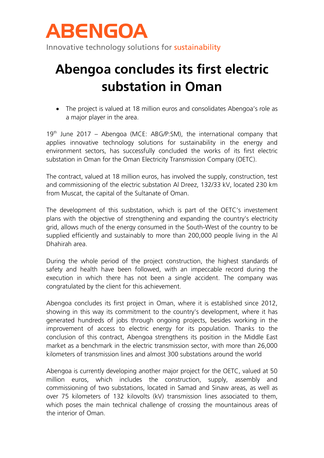

Innovative technology solutions for sustainability

## **Abengoa concludes its first electric substation in Oman**

• The project is valued at 18 million euros and consolidates Abengoa's role as a major player in the area.

 $19<sup>th</sup>$  June 2017 – Abengoa (MCE: ABG/P:SM), the international company that applies innovative technology solutions for sustainability in the energy and environment sectors, has successfully concluded the works of its first electric substation in Oman for the Oman Electricity Transmission Company (OETC).

The contract, valued at 18 million euros, has involved the supply, construction, test and commissioning of the electric substation Al Dreez, 132/33 kV, located 230 km from Muscat, the capital of the Sultanate of Oman.

The development of this susbstation, which is part of the OETC's investement plans with the objective of strengthening and expanding the country's electricity grid, allows much of the energy consumed in the South-West of the country to be supplied efficiently and sustainably to more than 200,000 people living in the Al Dhahirah area.

During the whole period of the project construction, the highest standards of safety and health have been followed, with an impeccable record during the execution in which there has not been a single accident. The company was congratulated by the client for this achievement.

Abengoa concludes its first project in Oman, where it is established since 2012, showing in this way its commitment to the country's development, where it has generated hundreds of jobs through ongoing projects, besides working in the improvement of access to electric energy for its population. Thanks to the conclusion of this contract, Abengoa strengthens its position in the Middle East market as a benchmark in the electric transmission sector, with more than 26,000 kilometers of transmission lines and almost 300 substations around the world

Abengoa is currently developing another major project for the OETC, valued at 50 million euros, which includes the construction, supply, assembly and commissioning of two substations, located in Samad and Sinaw areas, as well as over 75 kilometers of 132 kilovolts (kV) transmission lines associated to them, which poses the main technical challenge of crossing the mountainous areas of the interior of Oman.